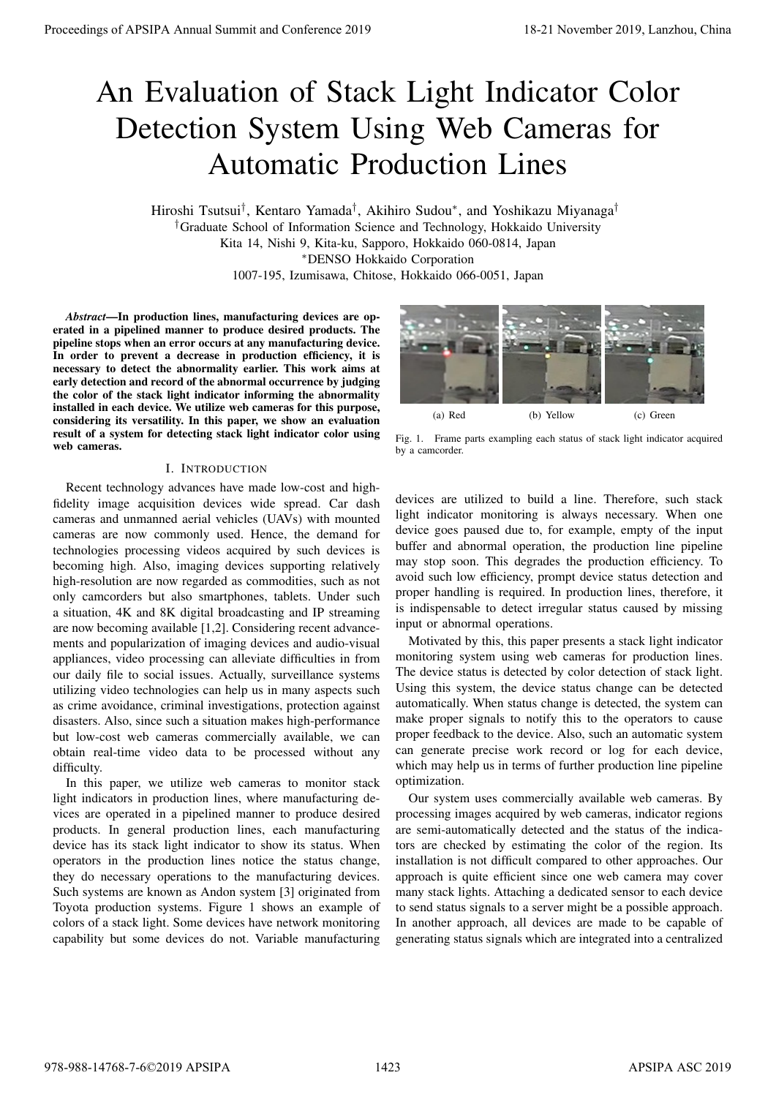# An Evaluation of Stack Light Indicator Color Detection System Using Web Cameras for Automatic Production Lines

Hiroshi Tsutsui<sup>†</sup>, Kentaro Yamada<sup>†</sup>, Akihiro Sudou\*, and Yoshikazu Miyanaga<sup>†</sup> †Graduate School of Information Science and Technology, Hokkaido University Kita 14, Nishi 9, Kita-ku, Sapporo, Hokkaido 060-0814, Japan <sup>∗</sup>DENSO Hokkaido Corporation 1007-195, Izumisawa, Chitose, Hokkaido 066-0051, Japan

*Abstract*—In production lines, manufacturing devices are operated in a pipelined manner to produce desired products. The pipeline stops when an error occurs at any manufacturing device. In order to prevent a decrease in production efficiency, it is necessary to detect the abnormality earlier. This work aims at early detection and record of the abnormal occurrence by judging the color of the stack light indicator informing the abnormality installed in each device. We utilize web cameras for this purpose, considering its versatility. In this paper, we show an evaluation result of a system for detecting stack light indicator color using web cameras.

## I. INTRODUCTION

Recent technology advances have made low-cost and highfidelity image acquisition devices wide spread. Car dash cameras and unmanned aerial vehicles (UAVs) with mounted cameras are now commonly used. Hence, the demand for technologies processing videos acquired by such devices is becoming high. Also, imaging devices supporting relatively high-resolution are now regarded as commodities, such as not only camcorders but also smartphones, tablets. Under such a situation, 4K and 8K digital broadcasting and IP streaming are now becoming available [1,2]. Considering recent advancements and popularization of imaging devices and audio-visual appliances, video processing can alleviate difficulties in from our daily file to social issues. Actually, surveillance systems utilizing video technologies can help us in many aspects such as crime avoidance, criminal investigations, protection against disasters. Also, since such a situation makes high-performance but low-cost web cameras commercially available, we can obtain real-time video data to be processed without any difficulty. **Proceeding of APSIPA Annual Summit at China 2019**<br> **An Evaluation of Stack Light Indicator Color Detection System Using Web Cameras for Strangent and Conference 2019<br>
The Tree of Karak Katala Katala Katala Katala Katala** 

In this paper, we utilize web cameras to monitor stack light indicators in production lines, where manufacturing devices are operated in a pipelined manner to produce desired products. In general production lines, each manufacturing device has its stack light indicator to show its status. When operators in the production lines notice the status change, they do necessary operations to the manufacturing devices. Such systems are known as Andon system [3] originated from Toyota production systems. Figure 1 shows an example of colors of a stack light. Some devices have network monitoring capability but some devices do not. Variable manufacturing



Fig. 1. Frame parts exampling each status of stack light indicator acquired by a camcorder.

devices are utilized to build a line. Therefore, such stack light indicator monitoring is always necessary. When one device goes paused due to, for example, empty of the input buffer and abnormal operation, the production line pipeline may stop soon. This degrades the production efficiency. To avoid such low efficiency, prompt device status detection and proper handling is required. In production lines, therefore, it is indispensable to detect irregular status caused by missing input or abnormal operations.

Motivated by this, this paper presents a stack light indicator monitoring system using web cameras for production lines. The device status is detected by color detection of stack light. Using this system, the device status change can be detected automatically. When status change is detected, the system can make proper signals to notify this to the operators to cause proper feedback to the device. Also, such an automatic system can generate precise work record or log for each device, which may help us in terms of further production line pipeline optimization.

Our system uses commercially available web cameras. By processing images acquired by web cameras, indicator regions are semi-automatically detected and the status of the indicators are checked by estimating the color of the region. Its installation is not difficult compared to other approaches. Our approach is quite efficient since one web camera may cover many stack lights. Attaching a dedicated sensor to each device to send status signals to a server might be a possible approach. In another approach, all devices are made to be capable of generating status signals which are integrated into a centralized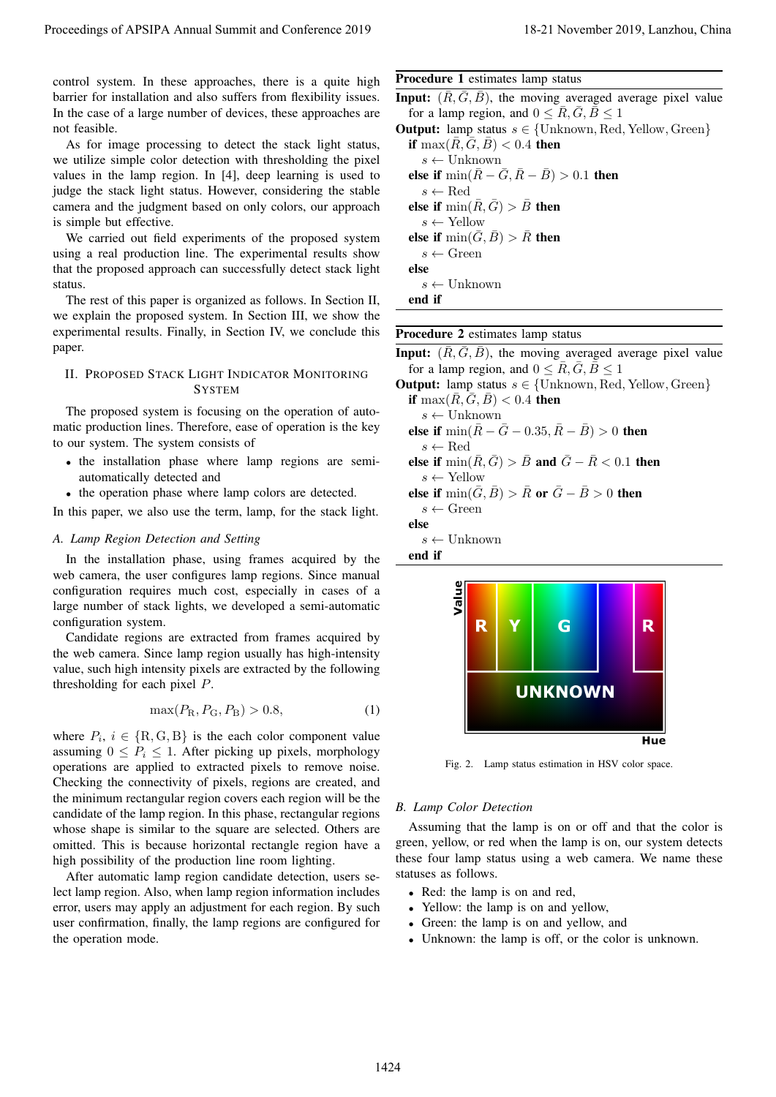control system. In these approaches, there is a quite high barrier for installation and also suffers from flexibility issues. In the case of a large number of devices, these approaches are not feasible.

As for image processing to detect the stack light status, we utilize simple color detection with thresholding the pixel values in the lamp region. In [4], deep learning is used to judge the stack light status. However, considering the stable camera and the judgment based on only colors, our approach is simple but effective.

We carried out field experiments of the proposed system using a real production line. The experimental results show that the proposed approach can successfully detect stack light status.

The rest of this paper is organized as follows. In Section II, we explain the proposed system. In Section III, we show the experimental results. Finally, in Section IV, we conclude this paper.

## II. PROPOSED STACK LIGHT INDICATOR MONITORING **SYSTEM**

The proposed system is focusing on the operation of automatic production lines. Therefore, ease of operation is the key to our system. The system consists of

- the installation phase where lamp regions are semiautomatically detected and
- the operation phase where lamp colors are detected.

In this paper, we also use the term, lamp, for the stack light.

## *A. Lamp Region Detection and Setting*

In the installation phase, using frames acquired by the web camera, the user configures lamp regions. Since manual configuration requires much cost, especially in cases of a large number of stack lights, we developed a semi-automatic configuration system.

Candidate regions are extracted from frames acquired by the web camera. Since lamp region usually has high-intensity value, such high intensity pixels are extracted by the following thresholding for each pixel P.

$$
\max(P_{\rm R}, P_{\rm G}, P_{\rm B}) > 0.8, \tag{1}
$$

where  $P_i$ ,  $i \in \{R, G, B\}$  is the each color component value assuming  $0 \leq P_i \leq 1$ . After picking up pixels, morphology operations are applied to extracted pixels to remove noise. Checking the connectivity of pixels, regions are created, and the minimum rectangular region covers each region will be the candidate of the lamp region. In this phase, rectangular regions whose shape is similar to the square are selected. Others are omitted. This is because horizontal rectangle region have a high possibility of the production line room lighting.

After automatic lamp region candidate detection, users select lamp region. Also, when lamp region information includes error, users may apply an adjustment for each region. By such user confirmation, finally, the lamp regions are configured for the operation mode.

### Procedure 1 estimates lamp status

**Input:**  $(\overline{R}, \overline{G}, \overline{B})$ , the moving averaged average pixel value for a lamp region, and  $0 \leq \overline{R}, \overline{G}, \overline{B} \leq 1$ 

**Output:** lamp status  $s \in \{\text{Unknown}, \text{Red}, \text{Yellow}, \text{Green}\}\$ if  $\max(\bar{R}, \bar{G}, \bar{B}) < 0.4$  then

 $s \leftarrow$  Unknown else if  $\min(\bar{R}-\bar{G}, \bar{R}-\bar{B}) > 0.1$  then  $s \leftarrow \text{Red}$ else if  $\min(\bar{R}, \bar{G}) > \bar{B}$  then  $s \leftarrow$  Yellow else if  $\min(\bar{G}, \bar{B}) > \bar{R}$  then  $s \leftarrow$  Green else  $s \leftarrow$  Unknown end if

# Procedure 2 estimates lamp status

**Input:**  $(\overline{R}, \overline{G}, \overline{B})$ , the moving averaged average pixel value for a lamp region, and  $0 \leq R$ ,  $\overline{G}$ ,  $\overline{B} \leq 1$ 

**Output:** lamp status  $s \in \{\text{Unknown}, \text{Red}, \text{Yellow}, \text{Green}\}\$ if  $\max(\bar{R}, \bar{G}, \bar{B}) < 0.4$  then

 $s \leftarrow$  Unknown

else if  $\min(\bar{R}-\bar{G}-0.35, \bar{R}-\bar{B}) > 0$  then  $s \leftarrow \text{Red}$ else if  $\min(\bar{R}, \bar{G}) > \bar{B}$  and  $\bar{G} - \bar{R} < 0.1$  then

$$
s \leftarrow \text{Yellow}
$$
\nelse if

\n
$$
\min(\bar{G}, \bar{B}) > \bar{R} \text{ or } \bar{G} - \bar{B} > 0 \text{ then}
$$

$$
s \leftarrow \text{Green}
$$

else

 $s \leftarrow$  Unknown

end if



Fig. 2. Lamp status estimation in HSV color space.

#### *B. Lamp Color Detection*

Assuming that the lamp is on or off and that the color is green, yellow, or red when the lamp is on, our system detects these four lamp status using a web camera. We name these statuses as follows.

- Red: the lamp is on and red,
- Yellow: the lamp is on and yellow,
- Green: the lamp is on and yellow, and
- Unknown: the lamp is off, or the color is unknown.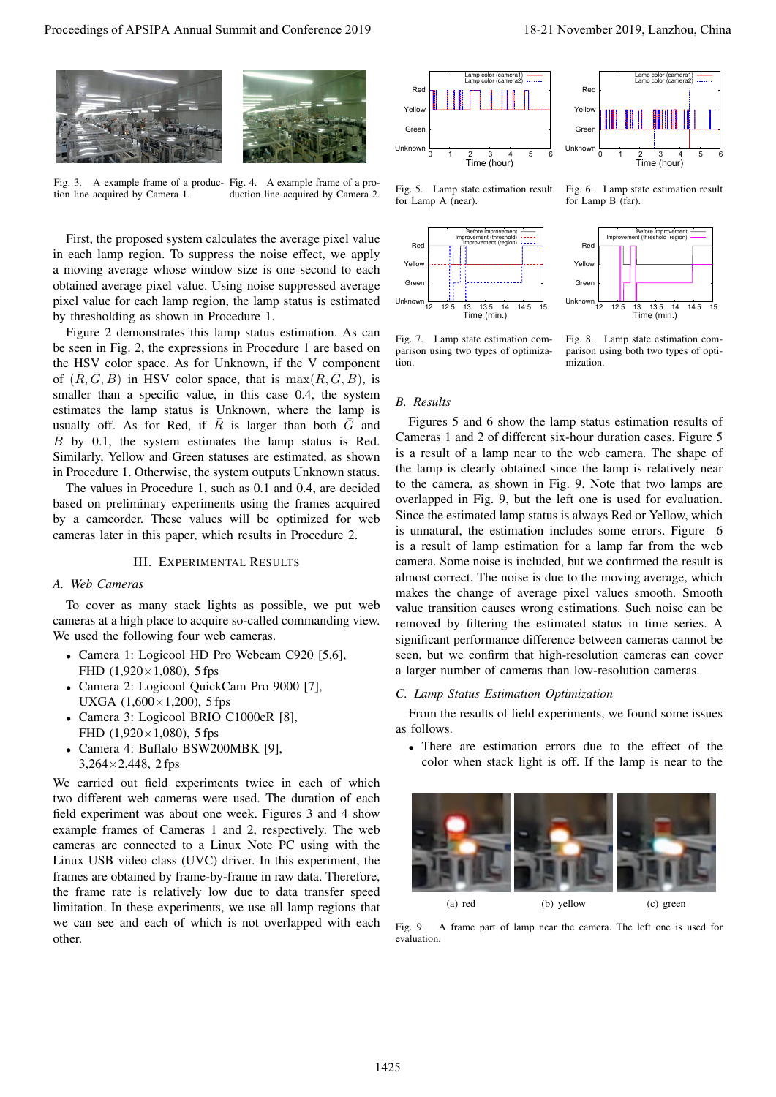

Fig. 3. A example frame of a produc-Fig. 4. A example frame of a protion line acquired by Camera 1. duction line acquired by Camera 2.

First, the proposed system calculates the average pixel value in each lamp region. To suppress the noise effect, we apply a moving average whose window size is one second to each obtained average pixel value. Using noise suppressed average pixel value for each lamp region, the lamp status is estimated by thresholding as shown in Procedure 1.

Figure 2 demonstrates this lamp status estimation. As can be seen in Fig. 2, the expressions in Procedure 1 are based on the HSV color space. As for Unknown, if the V component of  $(\bar{R}, \bar{G}, \bar{B})$  in HSV color space, that is  $\max(\bar{R}, \bar{G}, \bar{B})$ , is smaller than a specific value, in this case 0.4, the system estimates the lamp status is Unknown, where the lamp is usually off. As for Red, if  $\overline{R}$  is larger than both  $\overline{G}$  and  $B$  by 0.1, the system estimates the lamp status is Red. Similarly, Yellow and Green statuses are estimated, as shown in Procedure 1. Otherwise, the system outputs Unknown status.

The values in Procedure 1, such as 0.1 and 0.4, are decided based on preliminary experiments using the frames acquired by a camcorder. These values will be optimized for web cameras later in this paper, which results in Procedure 2.

## III. EXPERIMENTAL RESULTS

## *A. Web Cameras*

To cover as many stack lights as possible, we put web cameras at a high place to acquire so-called commanding view. We used the following four web cameras.

- Camera 1: Logicool HD Pro Webcam C920 [5,6], FHD  $(1,920 \times 1,080)$ , 5 fps
- Camera 2: Logicool QuickCam Pro 9000 [7], UXGA  $(1,600 \times 1,200)$ , 5 fps
- Camera 3: Logicool BRIO C1000eR [8], FHD  $(1,920 \times 1,080)$ , 5 fps
- Camera 4: Buffalo BSW200MBK [9],  $3,264 \times 2,448, 2$  fps

We carried out field experiments twice in each of which two different web cameras were used. The duration of each field experiment was about one week. Figures 3 and 4 show example frames of Cameras 1 and 2, respectively. The web cameras are connected to a Linux Note PC using with the Linux USB video class (UVC) driver. In this experiment, the frames are obtained by frame-by-frame in raw data. Therefore, the frame rate is relatively low due to data transfer speed limitation. In these experiments, we use all lamp regions that we can see and each of which is not overlapped with each other.

Unknown 및 Green Yellow **h** Red



Fig. 5. Lamp state estimation result for Lamp A (near).





0 1 2 3 4 5 6 Time (hour)

Lamp color (camera1) Lamp color (camera2)

Fig. 7. Lamp state estimation comparison using two types of optimization.

Fig. 8. Lamp state estimation comparison using both two types of optimization.

#### *B. Results*

Figures 5 and 6 show the lamp status estimation results of Cameras 1 and 2 of different six-hour duration cases. Figure 5 is a result of a lamp near to the web camera. The shape of the lamp is clearly obtained since the lamp is relatively near to the camera, as shown in Fig. 9. Note that two lamps are overlapped in Fig. 9, but the left one is used for evaluation. Since the estimated lamp status is always Red or Yellow, which is unnatural, the estimation includes some errors. Figure 6 is a result of lamp estimation for a lamp far from the web camera. Some noise is included, but we confirmed the result is almost correct. The noise is due to the moving average, which makes the change of average pixel values smooth. Smooth value transition causes wrong estimations. Such noise can be removed by filtering the estimated status in time series. A significant performance difference between cameras cannot be seen, but we confirm that high-resolution cameras can cover a larger number of cameras than low-resolution cameras. **Proceedings of APSIPA Annual Summit and Conference 2019, Lanzhou, China 1425, Lanzhou, China 1425, Lanzhou, China 1425, Lanzhou, China 1425, Lanzhou, China 1425, Lanzhou, China 1425, Lanzhou, China 1425, Lanzhou, China 1** 

#### *C. Lamp Status Estimation Optimization*

From the results of field experiments, we found some issues as follows.

• There are estimation errors due to the effect of the color when stack light is off. If the lamp is near to the



Fig. 9. A frame part of lamp near the camera. The left one is used for evaluation.